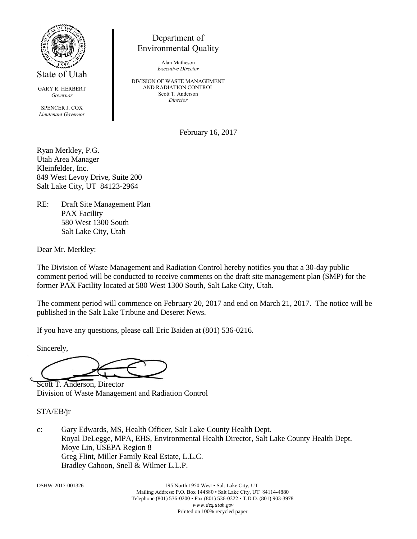

State of Utah

GARY R. HERBERT *Governor*

SPENCER J. COX *Lieutenant Governor*

## Department of Environmental Quality

Alan Matheson *Executive Director*

DIVISION OF WASTE MANAGEMENT AND RADIATION CONTROL Scott T. Anderson *Director*

February 16, 2017

Ryan Merkley, P.G. Utah Area Manager Kleinfelder, Inc. 849 West Levoy Drive, Suite 200 Salt Lake City, UT 84123-2964

RE: Draft Site Management Plan PAX Facility 580 West 1300 South Salt Lake City, Utah

Dear Mr. Merkley:

The Division of Waste Management and Radiation Control hereby notifies you that a 30-day public comment period will be conducted to receive comments on the draft site management plan (SMP) for the former PAX Facility located at 580 West 1300 South, Salt Lake City, Utah.

The comment period will commence on February 20, 2017 and end on March 21, 2017. The notice will be published in the Salt Lake Tribune and Deseret News.

If you have any questions, please call Eric Baiden at (801) 536-0216.

Sincerely,

Scott T. Anderson, Director Division of Waste Management and Radiation Control

STA/EB/jr

c: Gary Edwards, MS, Health Officer, Salt Lake County Health Dept. Royal DeLegge, MPA, EHS, Environmental Health Director, Salt Lake County Health Dept. Moye Lin, USEPA Region 8 Greg Flint, Miller Family Real Estate, L.L.C. Bradley Cahoon, Snell & Wilmer L.L.P.

DSHW-2017-001326 195 North 1950 West • Salt Lake City, UT Mailing Address: P.O. Box 144880 • Salt Lake City, UT 84114-4880 Telephone (801) 536-0200 • Fax (801) 536-0222 • T.D.D. (801) 903-3978 *www.deq.utah.gov* Printed on 100% recycled paper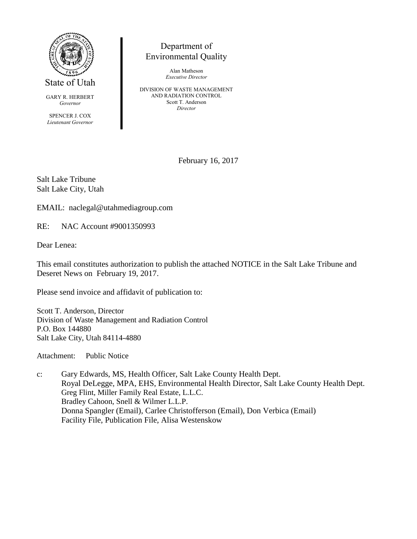

State of Utah

GARY R. HERBERT *Governor*

SPENCER J. COX *Lieutenant Governor*

## Department of Environmental Quality

Alan Matheson *Executive Director*

DIVISION OF WASTE MANAGEMENT AND RADIATION CONTROL Scott T. Anderson *Director*

February 16, 2017

Salt Lake Tribune Salt Lake City, Utah

EMAIL: naclegal@utahmediagroup.com

RE: NAC Account #9001350993

Dear Lenea:

This email constitutes authorization to publish the attached NOTICE in the Salt Lake Tribune and Deseret News on February 19, 2017.

Please send invoice and affidavit of publication to:

Scott T. Anderson, Director Division of Waste Management and Radiation Control P.O. Box 144880 Salt Lake City, Utah 84114-4880

Attachment: Public Notice

c: Gary Edwards, MS, Health Officer, Salt Lake County Health Dept. Royal DeLegge, MPA, EHS, Environmental Health Director, Salt Lake County Health Dept. Greg Flint, Miller Family Real Estate, L.L.C. Bradley Cahoon, Snell & Wilmer L.L.P. Donna Spangler (Email), Carlee Christofferson (Email), Don Verbica (Email) Facility File, Publication File, Alisa Westenskow